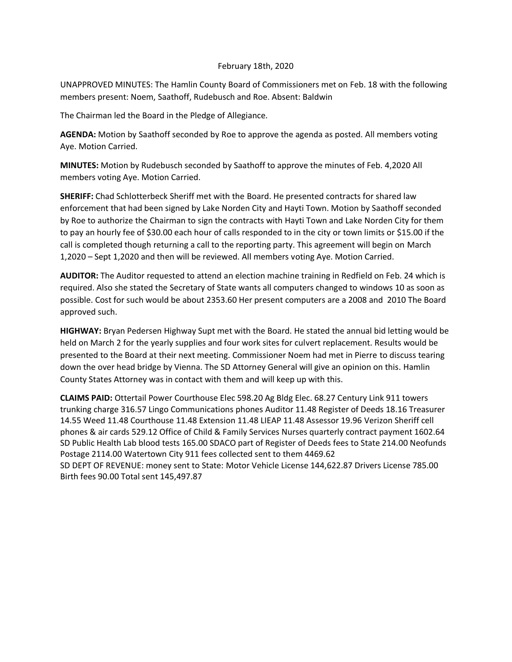## February 18th, 2020

UNAPPROVED MINUTES: The Hamlin County Board of Commissioners met on Feb. 18 with the following members present: Noem, Saathoff, Rudebusch and Roe. Absent: Baldwin

The Chairman led the Board in the Pledge of Allegiance.

**AGENDA:** Motion by Saathoff seconded by Roe to approve the agenda as posted. All members voting Aye. Motion Carried.

**MINUTES:** Motion by Rudebusch seconded by Saathoff to approve the minutes of Feb. 4,2020 All members voting Aye. Motion Carried.

**SHERIFF:** Chad Schlotterbeck Sheriff met with the Board. He presented contracts for shared law enforcement that had been signed by Lake Norden City and Hayti Town. Motion by Saathoff seconded by Roe to authorize the Chairman to sign the contracts with Hayti Town and Lake Norden City for them to pay an hourly fee of \$30.00 each hour of calls responded to in the city or town limits or \$15.00 if the call is completed though returning a call to the reporting party. This agreement will begin on March 1,2020 – Sept 1,2020 and then will be reviewed. All members voting Aye. Motion Carried.

**AUDITOR:** The Auditor requested to attend an election machine training in Redfield on Feb. 24 which is required. Also she stated the Secretary of State wants all computers changed to windows 10 as soon as possible. Cost for such would be about 2353.60 Her present computers are a 2008 and 2010 The Board approved such.

**HIGHWAY:** Bryan Pedersen Highway Supt met with the Board. He stated the annual bid letting would be held on March 2 for the yearly supplies and four work sites for culvert replacement. Results would be presented to the Board at their next meeting. Commissioner Noem had met in Pierre to discuss tearing down the over head bridge by Vienna. The SD Attorney General will give an opinion on this. Hamlin County States Attorney was in contact with them and will keep up with this.

**CLAIMS PAID:** Ottertail Power Courthouse Elec 598.20 Ag Bldg Elec. 68.27 Century Link 911 towers trunking charge 316.57 Lingo Communications phones Auditor 11.48 Register of Deeds 18.16 Treasurer 14.55 Weed 11.48 Courthouse 11.48 Extension 11.48 LIEAP 11.48 Assessor 19.96 Verizon Sheriff cell phones & air cards 529.12 Office of Child & Family Services Nurses quarterly contract payment 1602.64 SD Public Health Lab blood tests 165.00 SDACO part of Register of Deeds fees to State 214.00 Neofunds Postage 2114.00 Watertown City 911 fees collected sent to them 4469.62 SD DEPT OF REVENUE: money sent to State: Motor Vehicle License 144,622.87 Drivers License 785.00

Birth fees 90.00 Total sent 145,497.87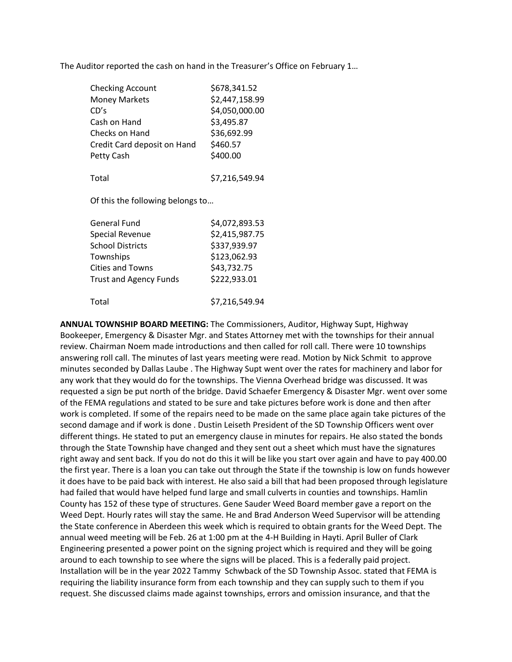The Auditor reported the cash on hand in the Treasurer's Office on February 1…

| <b>Checking Account</b>                   | \$678,341.52   |
|-------------------------------------------|----------------|
| <b>Money Markets</b>                      | \$2,447,158.99 |
| CD's                                      | \$4,050,000.00 |
| Cash on Hand                              | \$3,495.87     |
| Checks on Hand                            | \$36,692.99    |
| Credit Card deposit on Hand               | \$460.57       |
| Petty Cash                                | \$400.00       |
| Total<br>Of this the following belongs to | \$7,216,549.94 |
| General Fund                              | \$4,072,893.53 |
| <b>Special Revenue</b>                    | \$2,415,987.75 |
| <b>School Districts</b>                   | \$337,939.97   |
| Townships                                 | \$123,062.93   |

| Total | \$7,216,549.94 |
|-------|----------------|
|       |                |

Cities and Towns \$43,732.75 Trust and Agency Funds \$222,933.01

**ANNUAL TOWNSHIP BOARD MEETING:** The Commissioners, Auditor, Highway Supt, Highway Bookeeper, Emergency & Disaster Mgr. and States Attorney met with the townships for their annual review. Chairman Noem made introductions and then called for roll call. There were 10 townships answering roll call. The minutes of last years meeting were read. Motion by Nick Schmit to approve minutes seconded by Dallas Laube . The Highway Supt went over the rates for machinery and labor for any work that they would do for the townships. The Vienna Overhead bridge was discussed. It was requested a sign be put north of the bridge. David Schaefer Emergency & Disaster Mgr. went over some of the FEMA regulations and stated to be sure and take pictures before work is done and then after work is completed. If some of the repairs need to be made on the same place again take pictures of the second damage and if work is done . Dustin Leiseth President of the SD Township Officers went over different things. He stated to put an emergency clause in minutes for repairs. He also stated the bonds through the State Township have changed and they sent out a sheet which must have the signatures right away and sent back. If you do not do this it will be like you start over again and have to pay 400.00 the first year. There is a loan you can take out through the State if the township is low on funds however it does have to be paid back with interest. He also said a bill that had been proposed through legislature had failed that would have helped fund large and small culverts in counties and townships. Hamlin County has 152 of these type of structures. Gene Sauder Weed Board member gave a report on the Weed Dept. Hourly rates will stay the same. He and Brad Anderson Weed Supervisor will be attending the State conference in Aberdeen this week which is required to obtain grants for the Weed Dept. The annual weed meeting will be Feb. 26 at 1:00 pm at the 4-H Building in Hayti. April Buller of Clark Engineering presented a power point on the signing project which is required and they will be going around to each township to see where the signs will be placed. This is a federally paid project. Installation will be in the year 2022 Tammy Schwback of the SD Township Assoc. stated that FEMA is requiring the liability insurance form from each township and they can supply such to them if you request. She discussed claims made against townships, errors and omission insurance, and that the